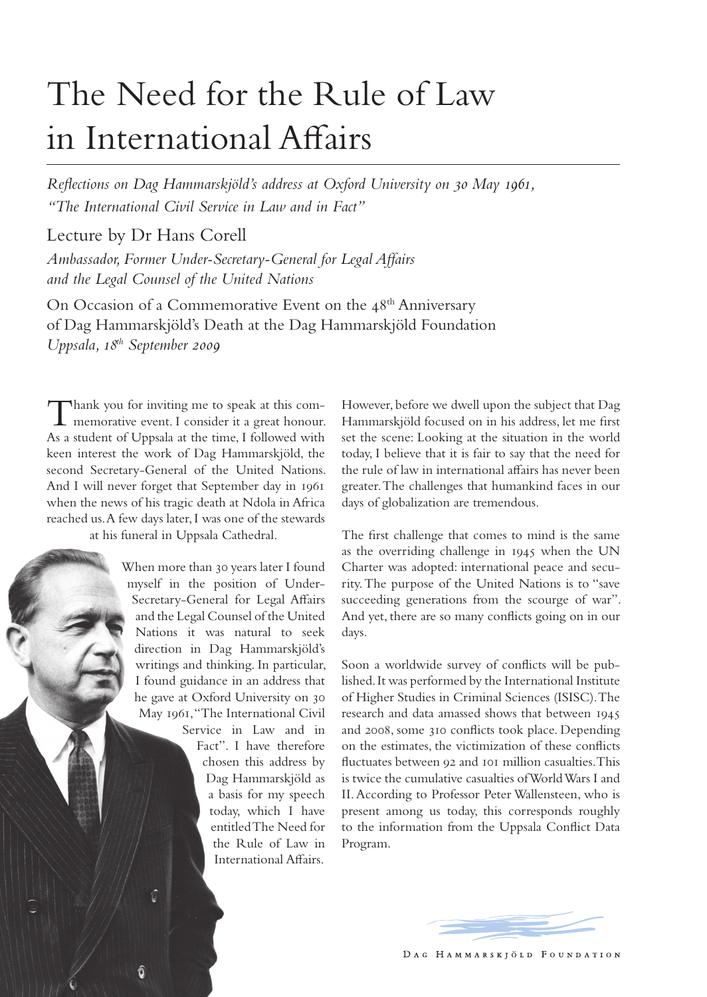## The Need for the Rule of Law in International Affairs

*Reflections on Dag Hammarskjöld's address at Oxford University on 30 May 1961, "The International Civil Service in Law and in Fact"*

Lecture by Dr Hans Corell

*Ambassador, Former Under-Secretary-General for Legal Affairs and the Legal Counsel of the United Nations*

On Occasion of a Commemorative Event on the  $48<sup>th</sup>$  Anniversary of Dag Hammarskjöld's Death at the Dag Hammarskjöld Foundation *Uppsala, 18th September 2009*

Thank you for inviting me to speak at this com-memorative event. I consider it a great honour. As a student of Uppsala at the time, I followed with keen interest the work of Dag Hammarskjöld, the second Secretary-General of the United Nations. And I will never forget that September day in 1961 when the news of his tragic death at Ndola in Africa reached us. A few days later, I was one of the stewards

at his funeral in Uppsala Cathedral.

When more than 30 years later I found myself in the position of Under-Secretary-General for Legal Affairs and the Legal Counsel of the United Nations it was natural to seek direction in Dag Hammarskjöld's writings and thinking. In particular, I found guidance in an address that he gave at Oxford University on 30 May 1961, "The International Civil

> Service in Law and in Fact". I have therefore chosen this address by Dag Hammarskjöld as a basis for my speech today, which I have entitled The Need for the Rule of Law in International Affairs.

However, before we dwell upon the subject that Dag Hammarskjöld focused on in his address, let me first set the scene: Looking at the situation in the world today, I believe that it is fair to say that the need for the rule of law in international affairs has never been greater. The challenges that humankind faces in our days of globalization are tremendous.

The first challenge that comes to mind is the same as the overriding challenge in 1945 when the UN Charter was adopted: international peace and security. The purpose of the United Nations is to "save succeeding generations from the scourge of war". And yet, there are so many conflicts going on in our days.

Soon a worldwide survey of conflicts will be published. It was performed by the International Institute of Higher Studies in Criminal Sciences (ISISC). The research and data amassed shows that between 1945 and 2008, some 310 conflicts took place. Depending on the estimates, the victimization of these conflicts fluctuates between 92 and 101 million casualties. This is twice the cumulative casualties of World Wars I and II. According to Professor Peter Wallensteen, who is present among us today, this corresponds roughly to the information from the Uppsala Conflict Data Program.

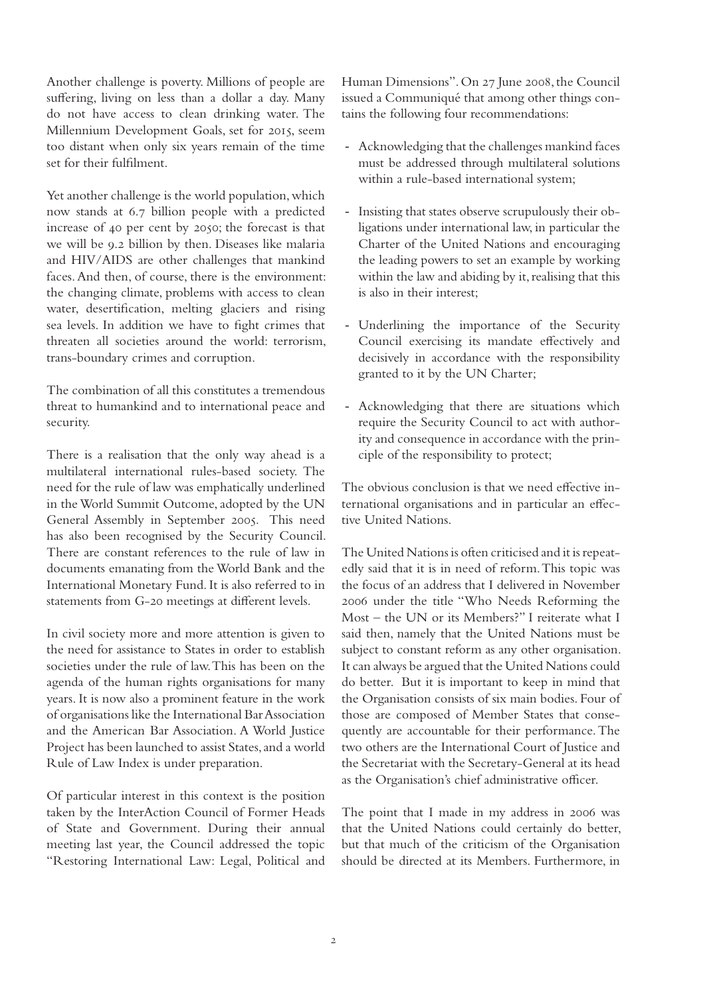Another challenge is poverty. Millions of people are suffering, living on less than a dollar a day. Many do not have access to clean drinking water. The Millennium Development Goals, set for 2015, seem too distant when only six years remain of the time set for their fulfilment.

Yet another challenge is the world population, which now stands at 6.7 billion people with a predicted increase of 40 per cent by 2050; the forecast is that we will be 9.2 billion by then. Diseases like malaria and HIV/AIDS are other challenges that mankind faces. And then, of course, there is the environment: the changing climate, problems with access to clean water, desertification, melting glaciers and rising sea levels. In addition we have to fight crimes that threaten all societies around the world: terrorism, trans-boundary crimes and corruption.

The combination of all this constitutes a tremendous threat to humankind and to international peace and security.

There is a realisation that the only way ahead is a multilateral international rules-based society. The need for the rule of law was emphatically underlined in the World Summit Outcome, adopted by the UN General Assembly in September 2005. This need has also been recognised by the Security Council. There are constant references to the rule of law in documents emanating from the World Bank and the International Monetary Fund. It is also referred to in statements from G-20 meetings at different levels.

In civil society more and more attention is given to the need for assistance to States in order to establish societies under the rule of law. This has been on the agenda of the human rights organisations for many years. It is now also a prominent feature in the work of organisations like the International Bar Association and the American Bar Association. A World Justice Project has been launched to assist States, and a world Rule of Law Index is under preparation.

Of particular interest in this context is the position taken by the InterAction Council of Former Heads of State and Government. During their annual meeting last year, the Council addressed the topic "Restoring International Law: Legal, Political and

Human Dimensions". On 27 June 2008, the Council issued a Communiqué that among other things contains the following four recommendations:

- Acknowledging that the challenges mankind faces must be addressed through multilateral solutions within a rule-based international system;
- Insisting that states observe scrupulously their obligations under international law, in particular the Charter of the United Nations and encouraging the leading powers to set an example by working within the law and abiding by it, realising that this is also in their interest;
- Underlining the importance of the Security Council exercising its mandate effectively and decisively in accordance with the responsibility granted to it by the UN Charter;
- Acknowledging that there are situations which require the Security Council to act with authority and consequence in accordance with the principle of the responsibility to protect;

The obvious conclusion is that we need effective international organisations and in particular an effective United Nations.

The United Nations is often criticised and it is repeatedly said that it is in need of reform. This topic was the focus of an address that I delivered in November 2006 under the title "Who Needs Reforming the Most – the UN or its Members?" I reiterate what I said then, namely that the United Nations must be subject to constant reform as any other organisation. It can always be argued that the United Nations could do better. But it is important to keep in mind that the Organisation consists of six main bodies. Four of those are composed of Member States that consequently are accountable for their performance. The two others are the International Court of Justice and the Secretariat with the Secretary-General at its head as the Organisation's chief administrative officer.

The point that I made in my address in 2006 was that the United Nations could certainly do better, but that much of the criticism of the Organisation should be directed at its Members. Furthermore, in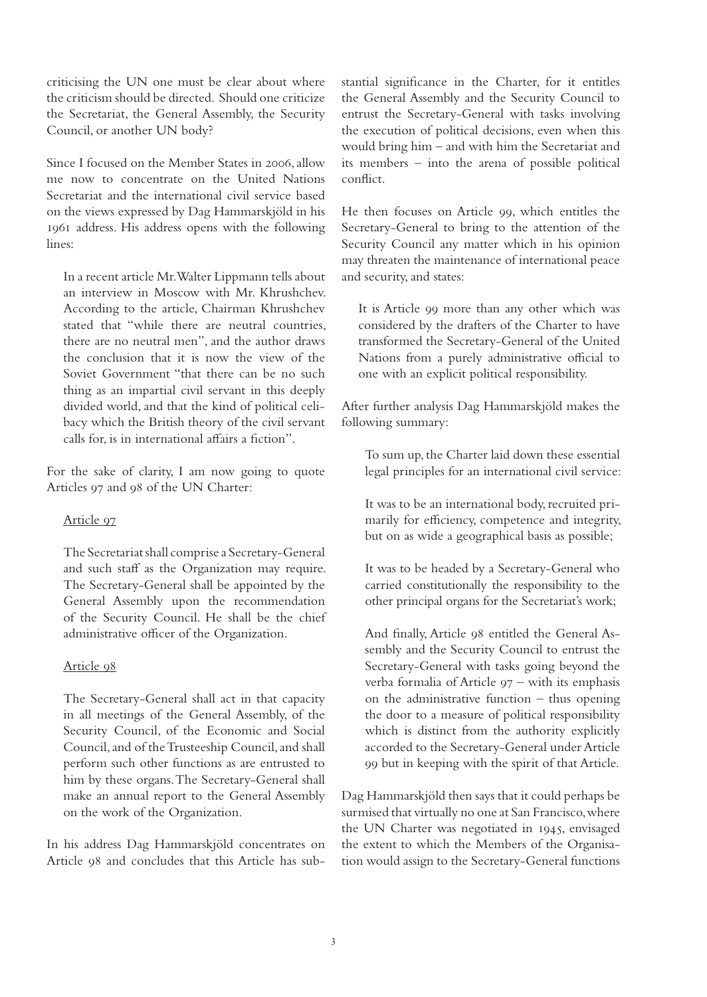criticising the UN one must be clear about where the criticism should be directed. Should one criticize the Secretariat, the General Assembly, the Security Council, or another UN body?

Since I focused on the Member States in 2006, allow me now to concentrate on the United Nations Secretariat and the international civil service based on the views expressed by Dag Hammarskjöld in his 1961 address. His address opens with the following lines:

In a recent article Mr. Walter Lippmann tells about an interview in Moscow with Mr. Khrushchev. According to the article, Chairman Khrushchev stated that "while there are neutral countries, there are no neutral men", and the author draws the conclusion that it is now the view of the Soviet Government "that there can be no such thing as an impartial civil servant in this deeply divided world, and that the kind of political celibacy which the British theory of the civil servant calls for, is in international affairs a fiction".

For the sake of clarity, I am now going to quote Articles 97 and 98 of the UN Charter:

## Article 97

The Secretariat shall comprise a Secretary-General and such staff as the Organization may require. The Secretary-General shall be appointed by the General Assembly upon the recommendation of the Security Council. He shall be the chief administrative officer of the Organization.

## Article 98

The Secretary-General shall act in that capacity in all meetings of the General Assembly, of the Security Council, of the Economic and Social Council, and of the Trusteeship Council, and shall perform such other functions as are entrusted to him by these organs. The Secretary-General shall make an annual report to the General Assembly on the work of the Organization.

In his address Dag Hammarskjöld concentrates on Article 98 and concludes that this Article has substantial significance in the Charter, for it entitles the General Assembly and the Security Council to entrust the Secretary-General with tasks involving the execution of political decisions, even when this would bring him – and with him the Secretariat and its members – into the arena of possible political conflict.

He then focuses on Article 99, which entitles the Secretary-General to bring to the attention of the Security Council any matter which in his opinion may threaten the maintenance of international peace and security, and states:

It is Article 99 more than any other which was considered by the drafters of the Charter to have transformed the Secretary-General of the United Nations from a purely administrative official to one with an explicit political responsibility.

After further analysis Dag Hammarskjöld makes the following summary:

To sum up, the Charter laid down these essential legal principles for an international civil service:

It was to be an international body, recruited primarily for efficiency, competence and integrity, but on as wide a geographical basis as possible;

It was to be headed by a Secretary-General who carried constitutionally the responsibility to the other principal organs for the Secretariat's work;

And finally, Article 98 entitled the General Assembly and the Security Council to entrust the Secretary-General with tasks going beyond the verba formalia of Article 97 – with its emphasis on the administrative function – thus opening the door to a measure of political responsibility which is distinct from the authority explicitly accorded to the Secretary-General under Article 99 but in keeping with the spirit of that Article.

Dag Hammarskjöld then says that it could perhaps be surmised that virtually no one at San Francisco, where the UN Charter was negotiated in 1945, envisaged the extent to which the Members of the Organisation would assign to the Secretary-General functions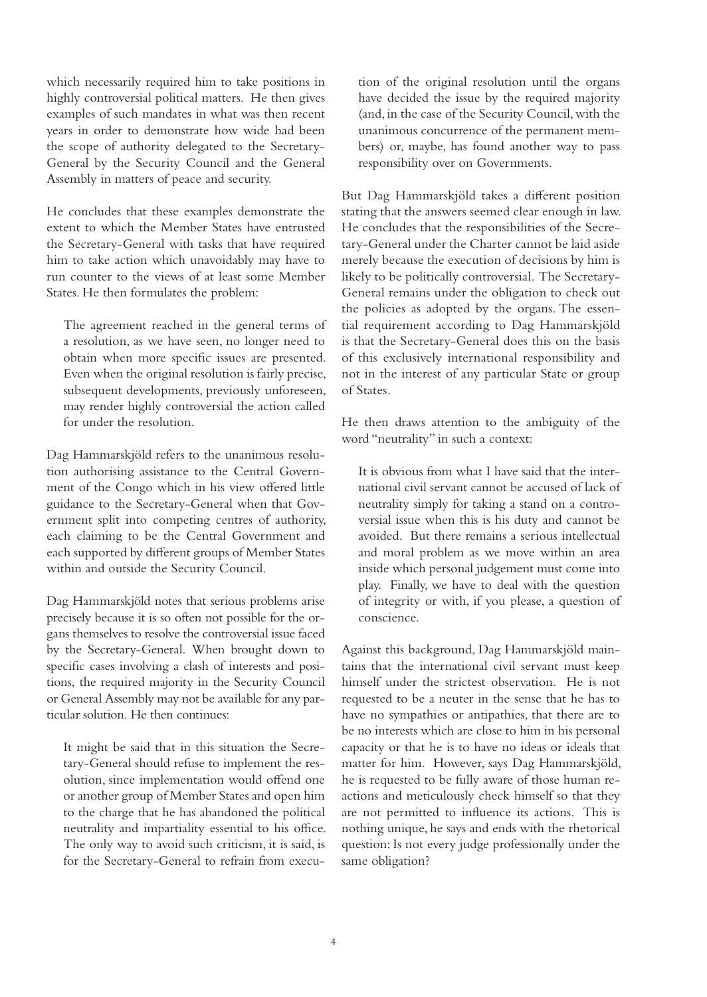which necessarily required him to take positions in highly controversial political matters. He then gives examples of such mandates in what was then recent years in order to demonstrate how wide had been the scope of authority delegated to the Secretary-General by the Security Council and the General Assembly in matters of peace and security.

He concludes that these examples demonstrate the extent to which the Member States have entrusted the Secretary-General with tasks that have required him to take action which unavoidably may have to run counter to the views of at least some Member States. He then formulates the problem:

The agreement reached in the general terms of a resolution, as we have seen, no longer need to obtain when more specific issues are presented. Even when the original resolution is fairly precise, subsequent developments, previously unforeseen, may render highly controversial the action called for under the resolution.

Dag Hammarskjöld refers to the unanimous resolution authorising assistance to the Central Government of the Congo which in his view offered little guidance to the Secretary-General when that Government split into competing centres of authority, each claiming to be the Central Government and each supported by different groups of Member States within and outside the Security Council.

Dag Hammarskjöld notes that serious problems arise precisely because it is so often not possible for the organs themselves to resolve the controversial issue faced by the Secretary-General. When brought down to specific cases involving a clash of interests and positions, the required majority in the Security Council or General Assembly may not be available for any particular solution. He then continues:

It might be said that in this situation the Secretary-General should refuse to implement the resolution, since implementation would offend one or another group of Member States and open him to the charge that he has abandoned the political neutrality and impartiality essential to his office. The only way to avoid such criticism, it is said, is for the Secretary-General to refrain from execution of the original resolution until the organs have decided the issue by the required majority (and, in the case of the Security Council, with the unanimous concurrence of the permanent members) or, maybe, has found another way to pass responsibility over on Governments.

But Dag Hammarskjöld takes a different position stating that the answers seemed clear enough in law. He concludes that the responsibilities of the Secretary-General under the Charter cannot be laid aside merely because the execution of decisions by him is likely to be politically controversial. The Secretary-General remains under the obligation to check out the policies as adopted by the organs. The essential requirement according to Dag Hammarskjöld is that the Secretary-General does this on the basis of this exclusively international responsibility and not in the interest of any particular State or group of States.

He then draws attention to the ambiguity of the word "neutrality" in such a context:

It is obvious from what I have said that the international civil servant cannot be accused of lack of neutrality simply for taking a stand on a controversial issue when this is his duty and cannot be avoided. But there remains a serious intellectual and moral problem as we move within an area inside which personal judgement must come into play. Finally, we have to deal with the question of integrity or with, if you please, a question of conscience.

Against this background, Dag Hammarskjöld maintains that the international civil servant must keep himself under the strictest observation. He is not requested to be a neuter in the sense that he has to have no sympathies or antipathies, that there are to be no interests which are close to him in his personal capacity or that he is to have no ideas or ideals that matter for him. However, says Dag Hammarskjöld, he is requested to be fully aware of those human reactions and meticulously check himself so that they are not permitted to influence its actions. This is nothing unique, he says and ends with the rhetorical question: Is not every judge professionally under the same obligation?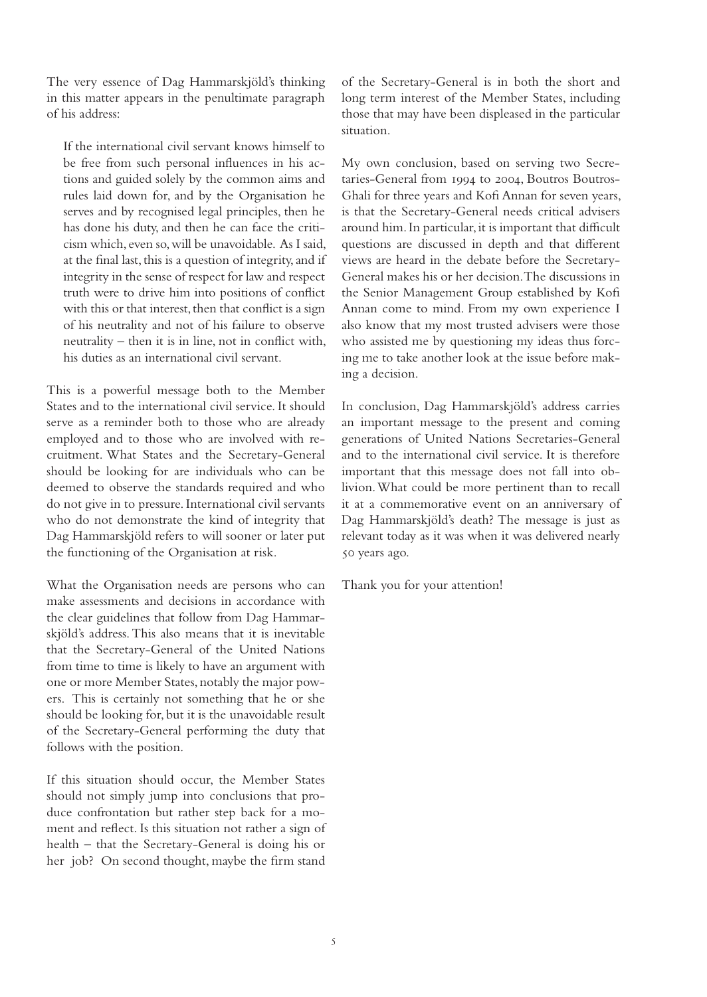The very essence of Dag Hammarskjöld's thinking in this matter appears in the penultimate paragraph of his address:

If the international civil servant knows himself to be free from such personal influences in his actions and guided solely by the common aims and rules laid down for, and by the Organisation he serves and by recognised legal principles, then he has done his duty, and then he can face the criticism which, even so, will be unavoidable. As I said, at the final last, this is a question of integrity, and if integrity in the sense of respect for law and respect truth were to drive him into positions of conflict with this or that interest, then that conflict is a sign of his neutrality and not of his failure to observe neutrality – then it is in line, not in conflict with, his duties as an international civil servant.

This is a powerful message both to the Member States and to the international civil service. It should serve as a reminder both to those who are already employed and to those who are involved with recruitment. What States and the Secretary-General should be looking for are individuals who can be deemed to observe the standards required and who do not give in to pressure. International civil servants who do not demonstrate the kind of integrity that Dag Hammarskjöld refers to will sooner or later put the functioning of the Organisation at risk.

What the Organisation needs are persons who can make assessments and decisions in accordance with the clear guidelines that follow from Dag Hammarskjöld's address. This also means that it is inevitable that the Secretary-General of the United Nations from time to time is likely to have an argument with one or more Member States, notably the major powers. This is certainly not something that he or she should be looking for, but it is the unavoidable result of the Secretary-General performing the duty that follows with the position.

If this situation should occur, the Member States should not simply jump into conclusions that produce confrontation but rather step back for a moment and reflect. Is this situation not rather a sign of health – that the Secretary-General is doing his or her job? On second thought, maybe the firm stand

of the Secretary-General is in both the short and long term interest of the Member States, including those that may have been displeased in the particular situation.

My own conclusion, based on serving two Secretaries-General from 1994 to 2004, Boutros Boutros-Ghali for three years and Kofi Annan for seven years, is that the Secretary-General needs critical advisers around him. In particular, it is important that difficult questions are discussed in depth and that different views are heard in the debate before the Secretary-General makes his or her decision. The discussions in the Senior Management Group established by Kofi Annan come to mind. From my own experience I also know that my most trusted advisers were those who assisted me by questioning my ideas thus forcing me to take another look at the issue before making a decision.

In conclusion, Dag Hammarskjöld's address carries an important message to the present and coming generations of United Nations Secretaries-General and to the international civil service. It is therefore important that this message does not fall into oblivion. What could be more pertinent than to recall it at a commemorative event on an anniversary of Dag Hammarskjöld's death? The message is just as relevant today as it was when it was delivered nearly 50 years ago.

Thank you for your attention!